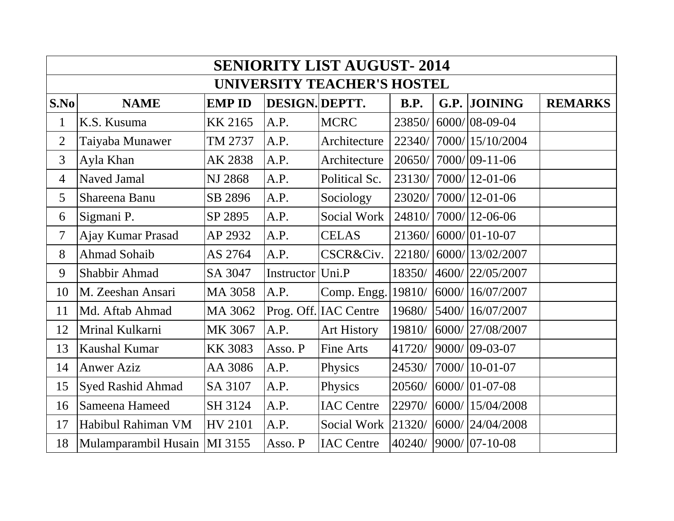| <b>SENIORITY LIST AUGUST-2014</b>  |                                |                |                  |                       |             |  |                       |                |  |  |  |  |
|------------------------------------|--------------------------------|----------------|------------------|-----------------------|-------------|--|-----------------------|----------------|--|--|--|--|
| <b>UNIVERSITY TEACHER'S HOSTEL</b> |                                |                |                  |                       |             |  |                       |                |  |  |  |  |
| S.No                               | <b>NAME</b>                    | <b>EMP ID</b>  | DESIGN. DEPTT.   |                       | <b>B.P.</b> |  | G.P. JOINING          | <b>REMARKS</b> |  |  |  |  |
| $\mathbf{1}$                       | K.S. Kusuma                    | KK 2165        | A.P.             | <b>MCRC</b>           | 23850/      |  | $6000/08 - 09 - 04$   |                |  |  |  |  |
| $\overline{2}$                     | Taiyaba Munawer                | TM 2737        | A.P.             | Architecture          | 22340/      |  | 7000/15/10/2004       |                |  |  |  |  |
| 3                                  | Ayla Khan                      | AK 2838        | A.P.             | Architecture          | 20650/      |  | $7000/09 - 11 - 06$   |                |  |  |  |  |
| 4                                  | <b>Naved Jamal</b>             | <b>NJ 2868</b> | A.P.             | Political Sc.         | 23130/      |  | $ 7000/12 - 01 - 06$  |                |  |  |  |  |
| 5                                  | Shareena Banu                  | SB 2896        | A.P.             | Sociology             | 23020/      |  | $ 7000/12 - 01 - 06 $ |                |  |  |  |  |
| 6                                  | Sigmani P.                     | SP 2895        | A.P.             | Social Work           | 24810/      |  | $7000/12 - 06 - 06$   |                |  |  |  |  |
| 7                                  | Ajay Kumar Prasad              | AP 2932        | A.P.             | <b>CELAS</b>          | 21360/      |  | $6000/01 - 10 - 07$   |                |  |  |  |  |
| 8                                  | <b>Ahmad Sohaib</b>            | AS 2764        | A.P.             | CSCR&Civ.             | 22180/      |  | 6000/13/02/2007       |                |  |  |  |  |
| 9                                  | Shabbir Ahmad                  | SA 3047        | Instructor Uni.P |                       | 18350/      |  | 4600/22/05/2007       |                |  |  |  |  |
| 10                                 | M. Zeeshan Ansari              | MA 3058        | A.P.             | Comp. Engg.           | 19810/      |  | 6000/16/07/2007       |                |  |  |  |  |
| 11                                 | Md. Aftab Ahmad                | MA 3062        |                  | Prog. Off. IAC Centre | 19680/      |  | 5400/16/07/2007       |                |  |  |  |  |
| 12                                 | Mrinal Kulkarni                | MK 3067        | A.P.             | <b>Art History</b>    | 19810/      |  | 6000/27/08/2007       |                |  |  |  |  |
| 13                                 | Kaushal Kumar                  | <b>KK 3083</b> | Asso. P          | Fine Arts             | 41720/      |  | 9000/ 09-03-07        |                |  |  |  |  |
| 14                                 | <b>Anwer Aziz</b>              | AA 3086        | A.P.             | Physics               | 24530/      |  | 7000/10-01-07         |                |  |  |  |  |
| 15                                 | <b>Syed Rashid Ahmad</b>       | SA 3107        | A.P.             | Physics               | 20560/      |  | 6000/ 01-07-08        |                |  |  |  |  |
| 16                                 | Sameena Hameed                 | SH 3124        | A.P.             | <b>IAC Centre</b>     | 22970/      |  | 6000/ 15/04/2008      |                |  |  |  |  |
| 17                                 | Habibul Rahiman VM             | <b>HV 2101</b> | A.P.             | Social Work           | 21320/      |  | 6000/ 24/04/2008      |                |  |  |  |  |
| 18                                 | Mulamparambil Husain   MI 3155 |                | Asso. P          | <b>IAC Centre</b>     | 40240/      |  | $9000/07 - 10 - 08$   |                |  |  |  |  |